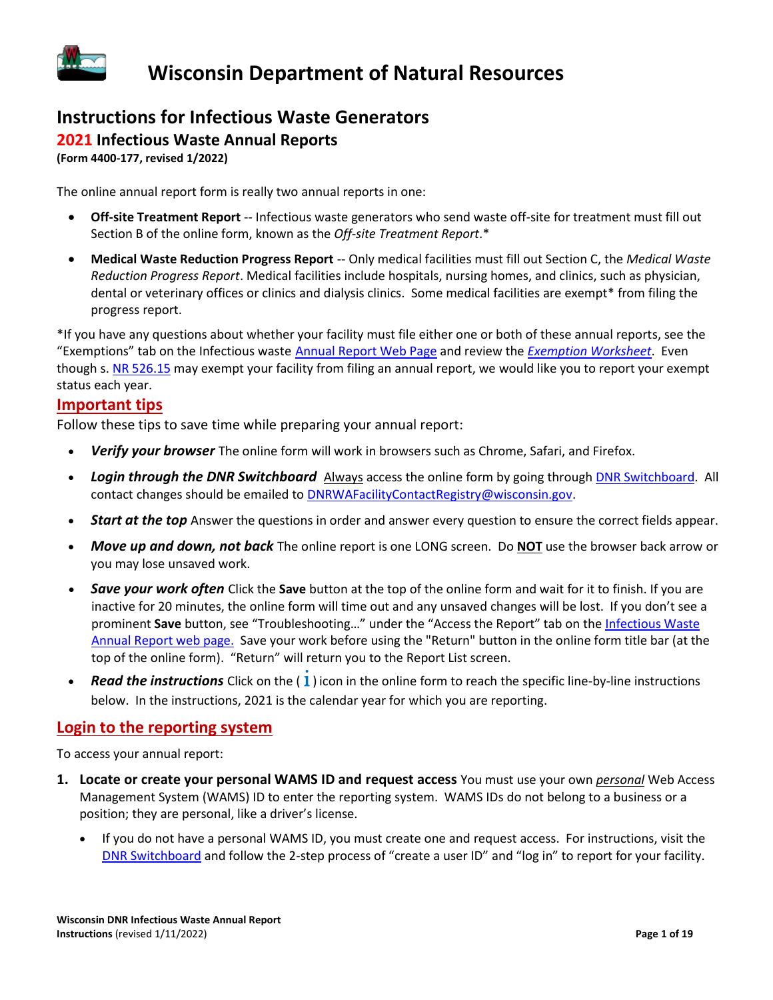

# **Instructions for Infectious Waste Generators**

## **2021 Infectious Waste Annual Reports**

**(Form 4400-177, revised 1/2022)**

The online annual report form is really two annual reports in one:

- **Off-site Treatment Report** -- Infectious waste generators who send waste off-site for treatment must fill out Section B of the online form, known as the *Off-site Treatment Report*.\*
- **Medical Waste Reduction Progress Report** -- Only medical facilities must fill out Section C, the *Medical Waste Reduction Progress Report*. Medical facilities include hospitals, nursing homes, and clinics, such as physician, dental or veterinary offices or clinics and dialysis clinics. Some medical facilities are exempt\* from filing the progress report.

\*If you have any questions about whether your facility must file either one or both of these annual reports, see the "Exemptions" tab on the Infectious waste [Annual Report Web Page](http://dnr.wi.gov/topic/healthwaste/iwreport.html) and review the *[Exemption Worksheet](http://dnr.wi.gov/files/pdf/pubs/wa/wa1801.pdf)*. Even though s. [NR 526.15](http://docs.legis.wisconsin.gov/code/admin_code/nr/500/526/II/15) may exempt your facility from filing an annual report, we would like you to report your exempt status each year.

#### **Important tips**

Follow these tips to save time while preparing your annual report:

- *Verify your browser* The online form will work in browsers such as Chrome, Safari, and Firefox.
- Login through the DNR Switchboard Always access the online form by going through [DNR Switchboard.](https://dnr.wisconsin.gov/topic/Switchboard) All contact changes should be emailed to **DNRWAFacilityContactRegistry@wisconsin.gov**.
- **Start at the top** Answer the questions in order and answer every question to ensure the correct fields appear.
- *Move up and down, not back* The online report is one LONG screen. Do **NOT** use the browser back arrow or you may lose unsaved work.
- *Save your work often* Click the **Save** button at the top of the online form and wait for it to finish. If you are inactive for 20 minutes, the online form will time out and any unsaved changes will be lost. If you don't see a prominent **Save** button, see "Troubleshooting…" under the "Access the Report" tab on the [Infectious Waste](http://dnr.wi.gov/topic/healthwaste/iwreport.html)  [Annual Report web page.](http://dnr.wi.gov/topic/healthwaste/iwreport.html) Save your work before using the "Return" button in the online form title bar (at the top of the online form). "Return" will return you to the Report List screen.
- **Read the instructions** Click on the (1) icon in the online form to reach the specific line-by-line instructions below. In the instructions, 2021 is the calendar year for which you are reporting.

#### **Login to the reporting system**

To access your annual report:

- **1. Locate or create your personal WAMS ID and request access** You must use your own *personal* Web Access Management System (WAMS) ID to enter the reporting system. WAMS IDs do not belong to a business or a position; they are personal, like a driver's license.
	- If you do not have a personal WAMS ID, you must create one and request access. For instructions, visit the [DNR Switchboard](https://dnr.wi.gov/topic/Switchboard/) and follow the 2-step process of "create a user ID" and "log in" to report for your facility.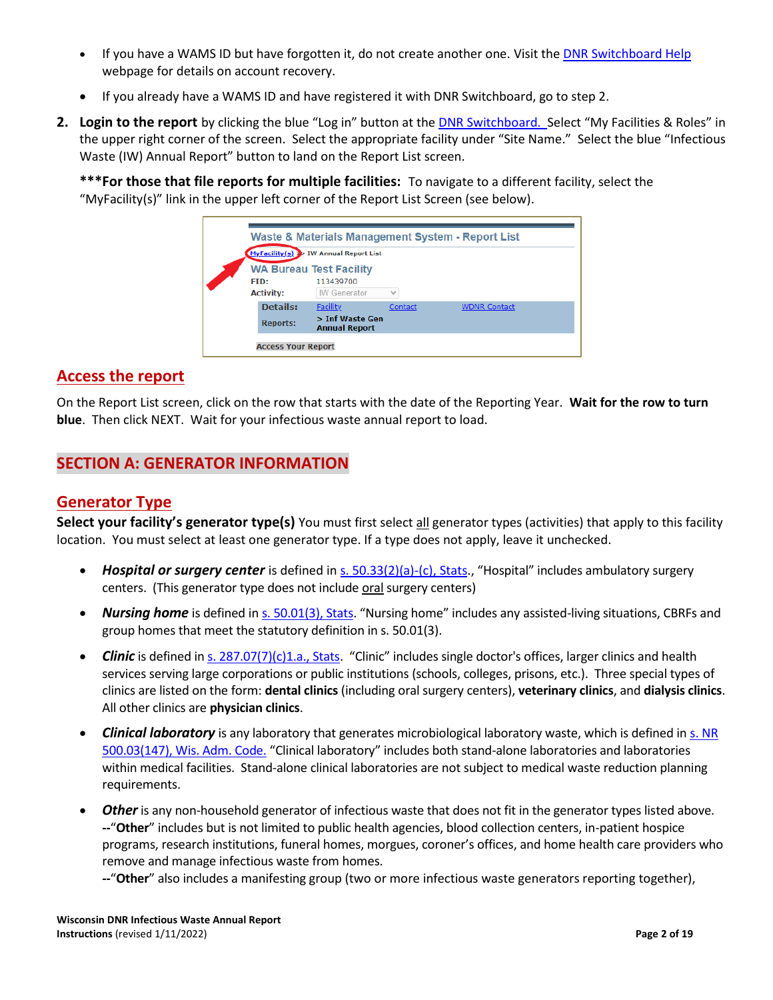- If you have a WAMS ID but have forgotten it, do not create another one. Visit the **DNR Switchboard Help** webpage for details on account recovery.
- If you already have a WAMS ID and have registered it with DNR Switchboard, go to step 2.
- **2. Login to the report** by clicking the blue "Log in" button at the [DNR Switchboard.](https://dnr.wi.gov/topic/Switchboard/) Select "My Facilities & Roles" in the upper right corner of the screen. Select the appropriate facility under "Site Name." Select the blue "Infectious Waste (IW) Annual Report" button to land on the Report List screen.

**\*\*\*For those that file reports for multiple facilities:** To navigate to a different facility, select the "MyFacility(s)" link in the upper left corner of the Report List Screen (see below).



## **Access the report**

On the Report List screen, click on the row that starts with the date of the Reporting Year. **Wait for the row to turn blue**. Then click NEXT. Wait for your infectious waste annual report to load.

## **SECTION A: GENERATOR INFORMATION**

#### **Generator Type**

**Select your facility's generator type(s)** You must first select all generator types (activities) that apply to this facility location. You must select at least one generator type. If a type does not apply, leave it unchecked.

- *Hospital or surgery center* is defined i[n s. 50.33\(2\)\(a\)-\(c\), Stats.](https://docs.legis.wisconsin.gov/statutes/statutes/50/II/33/2), "Hospital" includes ambulatory surgery centers. (This generator type does not include oral surgery centers)
- *Nursing home* is defined i[n s. 50.01\(3\), Stats](https://docs.legis.wisconsin.gov/statutes/statutes/50/I/01/3). "Nursing home" includes any assisted-living situations, CBRFs and group homes that meet the statutory definition in s. 50.01(3).
- *Clinic* is defined i[n s. 287.07\(7\)\(c\)1.a., Stats](https://docs.legis.wisconsin.gov/statutes/statutes/287/II/07/7/c/1/a). "Clinic" includes single doctor's offices, larger clinics and health services serving large corporations or public institutions (schools, colleges, prisons, etc.). Three special types of clinics are listed on the form: **dental clinics** (including oral surgery centers), **veterinary clinics**, and **dialysis clinics**. All other clinics are **physician clinics**.
- *Clinical laboratory* is any laboratory that generates microbiological laboratory waste, which is defined in s. NR [500.03\(147\), Wis. Adm. Code.](http://docs.legis.wisconsin.gov/code/admin_code/nr/500/500/03/147) "Clinical laboratory" includes both stand-alone laboratories and laboratories within medical facilities. Stand-alone clinical laboratories are not subject to medical waste reduction planning requirements.
- *Other* is any non-household generator of infectious waste that does not fit in the generator types listed above. **--**"**Other**" includes but is not limited to public health agencies, blood collection centers, in-patient hospice programs, research institutions, funeral homes, morgues, coroner's offices, and home health care providers who remove and manage infectious waste from homes.

**--**"**Other**" also includes a manifesting group (two or more infectious waste generators reporting together),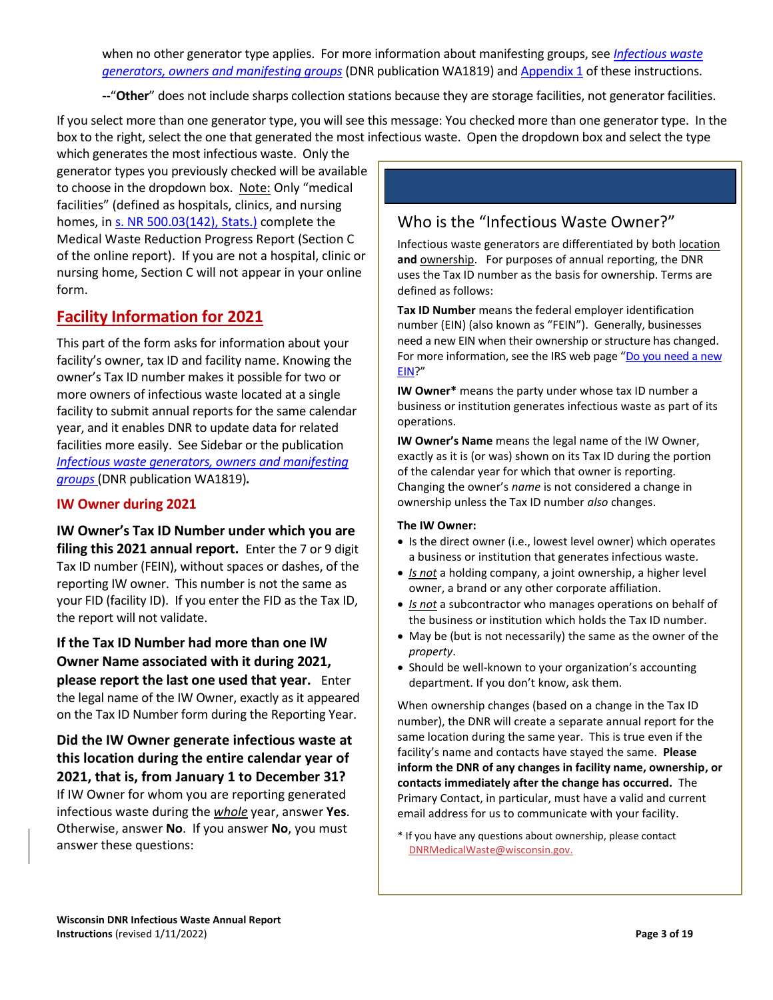when no other generator type applies. For more information about manifesting groups, see *[Infectious waste](http://dnr.wi.gov/files/PDF/pubs/wa/wa1819.pdf)  [generators, owners and manifesting groups](http://dnr.wi.gov/files/PDF/pubs/wa/wa1819.pdf)* (DNR publication WA1819) an[d Appendix 1](#page-15-0) of these instructions.

**--**"**Other**" does not include sharps collection stations because they are storage facilities, not generator facilities.

If you select more than one generator type, you will see this message: You checked more than one generator type. In the box to the right, select the one that generated the most infectious waste. Open the dropdown box and select the type

which generates the most infectious waste. Only the generator types you previously checked will be available to choose in the dropdown box. Note: Only "medical facilities" (defined as hospitals, clinics, and nursing homes, in [s. NR 500.03\(142\), Stats.\)](http://docs.legis.wisconsin.gov/code/admin_code/nr/500/500/03/142) complete the Medical Waste Reduction Progress Report (Section C of the online report). If you are not a hospital, clinic or nursing home, Section C will not appear in your online form.

## **Facility Information for 2021**

This part of the form asks for information about your facility's owner, tax ID and facility name. Knowing the owner's Tax ID number makes it possible for two or more owners of infectious waste located at a single facility to submit annual reports for the same calendar year, and it enables DNR to update data for related facilities more easily. See Sidebar or the publication *[Infectious waste generators, owners and manifesting](http://dnr.wi.gov/files/PDF/pubs/wa/WA1819.pdf)  [groups](http://dnr.wi.gov/files/PDF/pubs/wa/WA1819.pdf)* (DNR publication WA1819)*.*

#### **IW Owner during 2021**

**IW Owner's Tax ID Number under which you are filing this 2021 annual report.** Enter the 7 or 9 digit Tax ID number (FEIN), without spaces or dashes, of the reporting IW owner. This number is not the same as your FID (facility ID). If you enter the FID as the Tax ID, the report will not validate.

**If the Tax ID Number had more than one IW Owner Name associated with it during 2021, please report the last one used that year.** Enter the legal name of the IW Owner, exactly as it appeared on the Tax ID Number form during the Reporting Year.

**Did the IW Owner generate infectious waste at this location during the entire calendar year of 2021, that is, from January 1 to December 31?** If IW Owner for whom you are reporting generated infectious waste during the *whole* year, answer **Yes**. Otherwise, answer **No**. If you answer **No**, you must answer these questions:



Infectious waste generators are differentiated by both location **and** ownership. For purposes of annual reporting, the DNR uses the Tax ID number as the basis for ownership. Terms are defined as follows:

**Tax ID Number** means the federal employer identification number (EIN) (also known as "FEIN"). Generally, businesses need a new EIN when their ownership or structure has changed. For more information, see the IRS web page "[Do you need a new](https://www.irs.gov/businesses/small-businesses-self-employed/do-you-need-a-new-ein)  [EIN](https://www.irs.gov/businesses/small-businesses-self-employed/do-you-need-a-new-ein)?"

**IW Owner\*** means the party under whose tax ID number a business or institution generates infectious waste as part of its operations.

**IW Owner's Name** means the legal name of the IW Owner, exactly as it is (or was) shown on its Tax ID during the portion of the calendar year for which that owner is reporting. Changing the owner's *name* is not considered a change in ownership unless the Tax ID number *also* changes.

#### **The IW Owner:**

- Is the direct owner (i.e., lowest level owner) which operates a business or institution that generates infectious waste.
- *Is not* a holding company, a joint ownership, a higher level owner, a brand or any other corporate affiliation.
- *Is not* a subcontractor who manages operations on behalf of the business or institution which holds the Tax ID number.
- May be (but is not necessarily) the same as the owner of the *property*.
- Should be well-known to your organization's accounting department. If you don't know, ask them.

When ownership changes (based on a change in the Tax ID number), the DNR will create a separate annual report for the same location during the same year. This is true even if the facility's name and contacts have stayed the same. **Please inform the DNR of any changes in facility name, ownership, or contacts immediately after the change has occurred.** The Primary Contact, in particular, must have a valid and current email address for us to communicate with your facility.

\* If you have any questions about ownership, please contact [DNRMedicalWaste@wisconsin.gov.](mailto:DNRMedicalwaste@wisconsin.gov)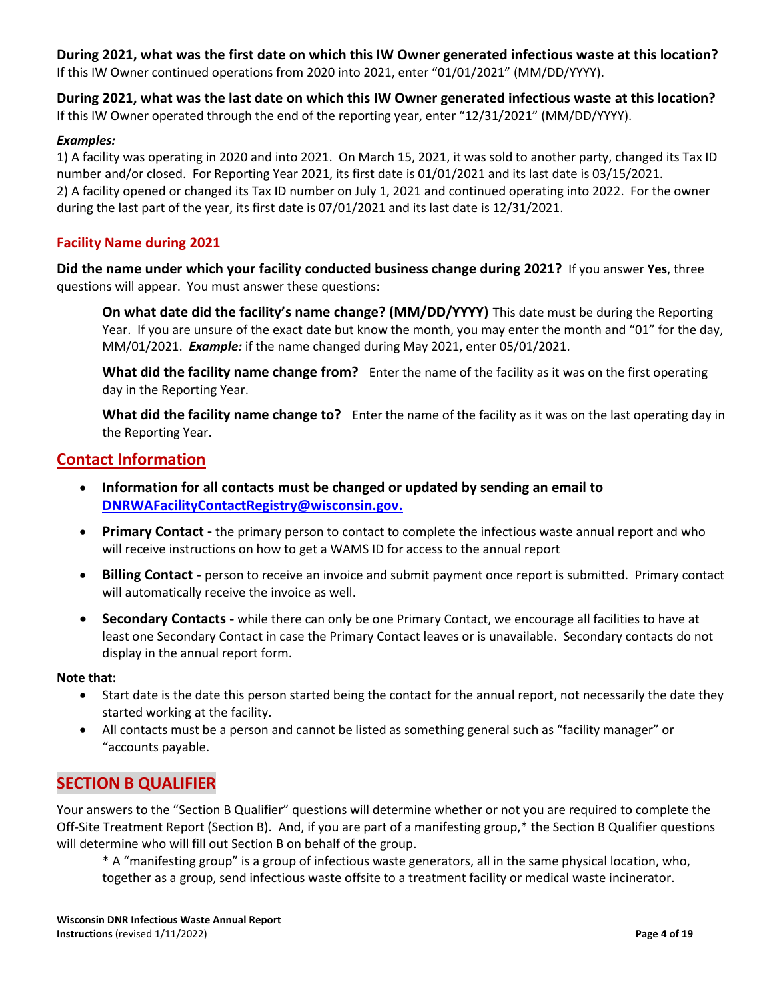**During 2021, what was the first date on which this IW Owner generated infectious waste at this location?**  If this IW Owner continued operations from 2020 into 2021, enter "01/01/2021" (MM/DD/YYYY).

**During 2021, what was the last date on which this IW Owner generated infectious waste at this location?**  If this IW Owner operated through the end of the reporting year, enter "12/31/2021" (MM/DD/YYYY).

#### *Examples:*

1) A facility was operating in 2020 and into 2021. On March 15, 2021, it was sold to another party, changed its Tax ID number and/or closed. For Reporting Year 2021, its first date is 01/01/2021 and its last date is 03/15/2021. 2) A facility opened or changed its Tax ID number on July 1, 2021 and continued operating into 2022. For the owner during the last part of the year, its first date is 07/01/2021 and its last date is 12/31/2021.

#### **Facility Name during 2021**

**Did the name under which your facility conducted business change during 2021?** If you answer **Yes**, three questions will appear. You must answer these questions:

**On what date did the facility's name change? (MM/DD/YYYY)** This date must be during the Reporting Year. If you are unsure of the exact date but know the month, you may enter the month and "01" for the day, MM/01/2021. *Example:* if the name changed during May 2021, enter 05/01/2021.

**What did the facility name change from?** Enter the name of the facility as it was on the first operating day in the Reporting Year.

**What did the facility name change to?** Enter the name of the facility as it was on the last operating day in the Reporting Year.

#### **Contact Information**

- **Information for all contacts must be changed or updated by sending an email to [DNRWAFacilityContactRegistry@wisconsin.gov.](file://///dnr/programs/WA/WA_FILES/MEDICAL%20WASTE/Annual%20reports/2020%20IW%20annual%20reports/DNRWAFacilityContactRegistry@wisconsin.gov)**
- **Primary Contact -** the primary person to contact to complete the infectious waste annual report and who will receive instructions on how to get a WAMS ID for access to the annual report
- **Billing Contact -** person to receive an invoice and submit payment once report is submitted. Primary contact will automatically receive the invoice as well.
- **Secondary Contacts -** while there can only be one Primary Contact, we encourage all facilities to have at least one Secondary Contact in case the Primary Contact leaves or is unavailable. Secondary contacts do not display in the annual report form.

#### **Note that:**

- Start date is the date this person started being the contact for the annual report, not necessarily the date they started working at the facility.
- All contacts must be a person and cannot be listed as something general such as "facility manager" or "accounts payable.

## **SECTION B QUALIFIER**

Your answers to the "Section B Qualifier" questions will determine whether or not you are required to complete the Off-Site Treatment Report (Section B). And, if you are part of a manifesting group,\* the Section B Qualifier questions will determine who will fill out Section B on behalf of the group.

\* A "manifesting group" is a group of infectious waste generators, all in the same physical location, who, together as a group, send infectious waste offsite to a treatment facility or medical waste incinerator.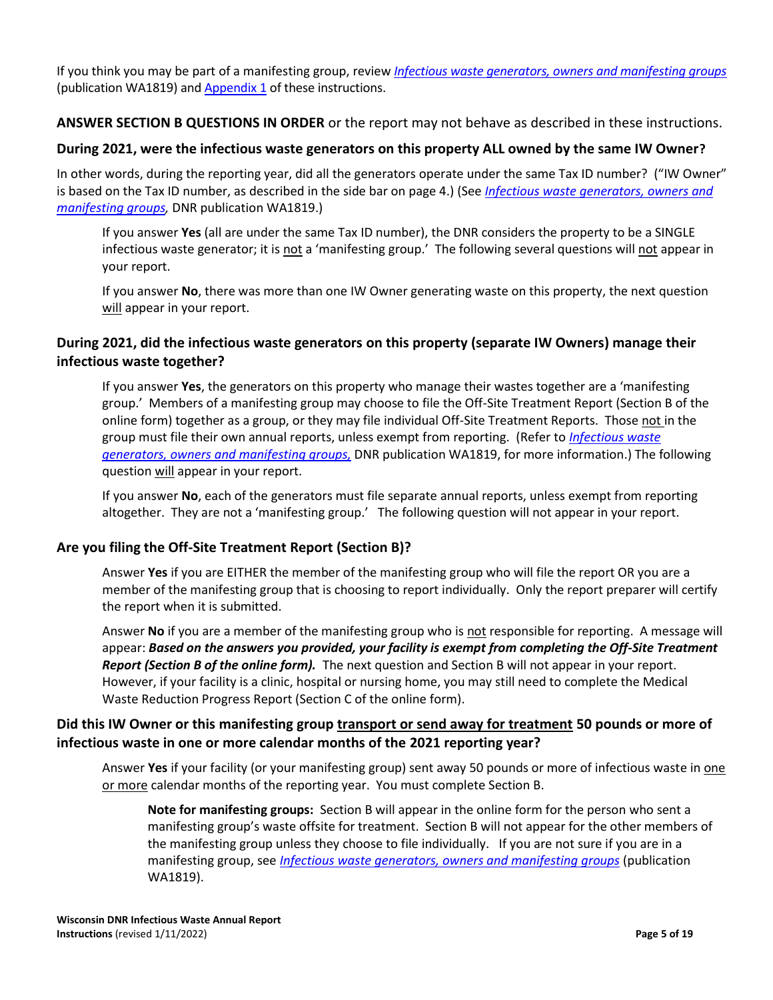If you think you may be part of a manifesting group, review *[Infectious waste generators, owners and manifesting groups](http://dnr.wi.gov/files/PDF/pubs/wa/wa1819.pdf)* (publication WA1819) and  $\Delta$ ppendix 1 of these instructions.

**ANSWER SECTION B QUESTIONS IN ORDER** or the report may not behave as described in these instructions.

#### **During 2021, were the infectious waste generators on this property ALL owned by the same IW Owner?**

In other words, during the reporting year, did all the generators operate under the same Tax ID number? ("IW Owner" is based on the Tax ID number, as described in the side bar on page 4.) (See *[Infectious waste generators, owners and](http://dnr.wi.gov/files/PDF/pubs/wa/WA1819.pdf)  [manifesting groups,](http://dnr.wi.gov/files/PDF/pubs/wa/WA1819.pdf)* DNR publication WA1819.)

If you answer **Yes** (all are under the same Tax ID number), the DNR considers the property to be a SINGLE infectious waste generator; it is not a 'manifesting group.' The following several questions will not appear in your report.

If you answer **No**, there was more than one IW Owner generating waste on this property, the next question will appear in your report.

## **During 2021, did the infectious waste generators on this property (separate IW Owners) manage their infectious waste together?**

If you answer **Yes**, the generators on this property who manage their wastes together are a 'manifesting group.' Members of a manifesting group may choose to file the Off-Site Treatment Report (Section B of the online form) together as a group, or they may file individual Off-Site Treatment Reports. Those not in the group must file their own annual reports, unless exempt from reporting. (Refer to *[Infectious waste](http://dnr.wi.gov/files/PDF/pubs/wa/wa1819.pdf)  [generators, owners and manifesting groups,](http://dnr.wi.gov/files/PDF/pubs/wa/wa1819.pdf)* DNR publication WA1819, for more information.) The following question will appear in your report.

If you answer **No**, each of the generators must file separate annual reports, unless exempt from reporting altogether. They are not a 'manifesting group.' The following question will not appear in your report.

#### **Are you filing the Off-Site Treatment Report (Section B)?**

Answer **Yes** if you are EITHER the member of the manifesting group who will file the report OR you are a member of the manifesting group that is choosing to report individually. Only the report preparer will certify the report when it is submitted.

Answer **No** if you are a member of the manifesting group who is not responsible for reporting. A message will appear: *Based on the answers you provided, your facility is exempt from completing the Off-Site Treatment Report (Section B of the online form).* The next question and Section B will not appear in your report. However, if your facility is a clinic, hospital or nursing home, you may still need to complete the Medical Waste Reduction Progress Report (Section C of the online form).

## **Did this IW Owner or this manifesting group transport or send away for treatment 50 pounds or more of infectious waste in one or more calendar months of the 2021 reporting year?**

Answer **Yes** if your facility (or your manifesting group) sent away 50 pounds or more of infectious waste in one or more calendar months of the reporting year. You must complete Section B.

**Note for manifesting groups:** Section B will appear in the online form for the person who sent a manifesting group's waste offsite for treatment. Section B will not appear for the other members of the manifesting group unless they choose to file individually. If you are not sure if you are in a manifesting group, see *[Infectious waste generators, owners and manifesting groups](http://dnr.wi.gov/files/PDF/pubs/wa/WA1819.pdf)* (publication WA1819).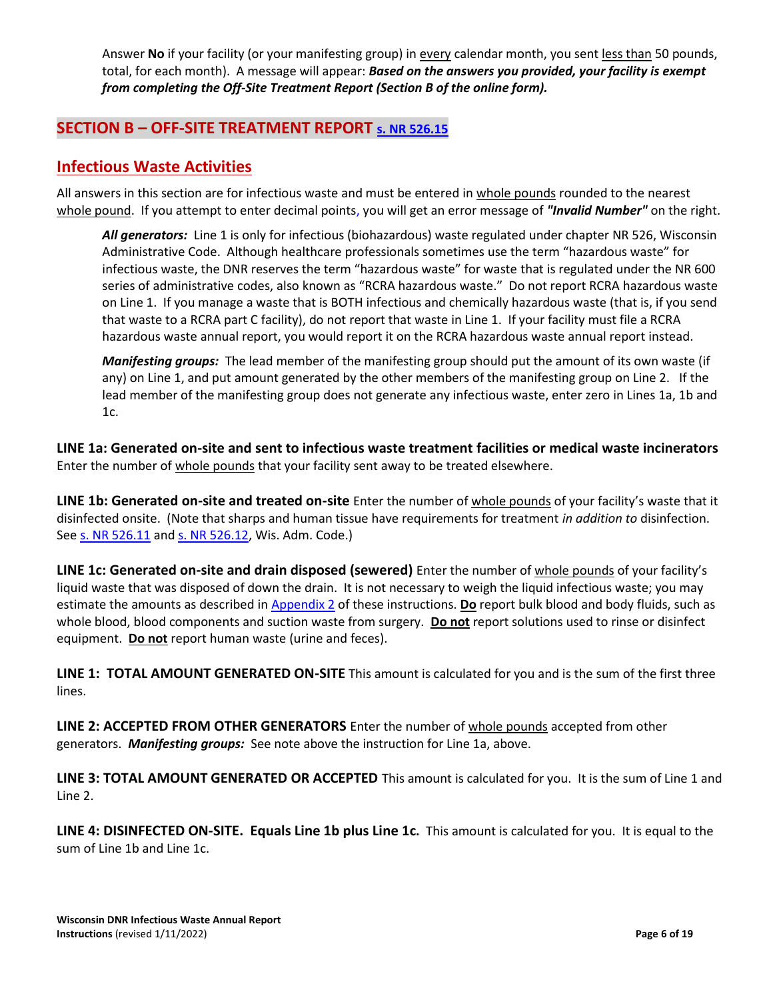Answer **No** if your facility (or your manifesting group) in every calendar month, you sent less than 50 pounds, total, for each month). A message will appear: *Based on the answers you provided, your facility is exempt from completing the Off-Site Treatment Report (Section B of the online form).*

## **SECTION B – OFF-SITE TREATMENT REPORT [s. NR 526.15](http://docs.legis.wisconsin.gov/code/admin_code/nr/500/526/II/15)**

## **Infectious Waste Activities**

All answers in this section are for infectious waste and must be entered in whole pounds rounded to the nearest whole pound. If you attempt to enter decimal points, you will get an error message of *"Invalid Number"* on the right.

*All generators:* Line 1 is only for infectious (biohazardous) waste regulated under chapter NR 526, Wisconsin Administrative Code. Although healthcare professionals sometimes use the term "hazardous waste" for infectious waste, the DNR reserves the term "hazardous waste" for waste that is regulated under the NR 600 series of administrative codes, also known as "RCRA hazardous waste." Do not report RCRA hazardous waste on Line 1. If you manage a waste that is BOTH infectious and chemically hazardous waste (that is, if you send that waste to a RCRA part C facility), do not report that waste in Line 1. If your facility must file a RCRA hazardous waste annual report, you would report it on the RCRA hazardous waste annual report instead.

*Manifesting groups:* The lead member of the manifesting group should put the amount of its own waste (if any) on Line 1, and put amount generated by the other members of the manifesting group on Line 2. If the lead member of the manifesting group does not generate any infectious waste, enter zero in Lines 1a, 1b and 1c.

**LINE 1a: Generated on-site and sent to infectious waste treatment facilities or medical waste incinerators** Enter the number of whole pounds that your facility sent away to be treated elsewhere.

**LINE 1b: Generated on-site and treated on-site** Enter the number of whole pounds of your facility's waste that it disinfected onsite. (Note that sharps and human tissue have requirements for treatment *in addition to* disinfection. Se[e s. NR 526.11](http://docs.legis.wisconsin.gov/code/admin_code/nr/500/526/II/11) and [s. NR 526.12,](http://docs.legis.wisconsin.gov/code/admin_code/nr/500/526/II/12) Wis. Adm. Code.)

**LINE 1c: Generated on-site and drain disposed (sewered)** Enter the number of whole pounds of your facility's liquid waste that was disposed of down the drain. It is not necessary to weigh the liquid infectious waste; you may estimate the amounts as described in [Appendix](#page-18-0) 2 of these instructions. **Do** report bulk blood and body fluids, such as whole blood, blood components and suction waste from surgery. **Do not** report solutions used to rinse or disinfect equipment. **Do not** report human waste (urine and feces).

**LINE 1: TOTAL AMOUNT GENERATED ON-SITE** This amount is calculated for you and is the sum of the first three lines.

**LINE 2: ACCEPTED FROM OTHER GENERATORS** Enter the number of whole pounds accepted from other generators. *Manifesting groups:* See note above the instruction for Line 1a, above.

**LINE 3: TOTAL AMOUNT GENERATED OR ACCEPTED** This amount is calculated for you. It is the sum of Line 1 and Line 2.

**LINE 4: DISINFECTED ON-SITE. Equals Line 1b plus Line 1c.** This amount is calculated for you. It is equal to the sum of Line 1b and Line 1c.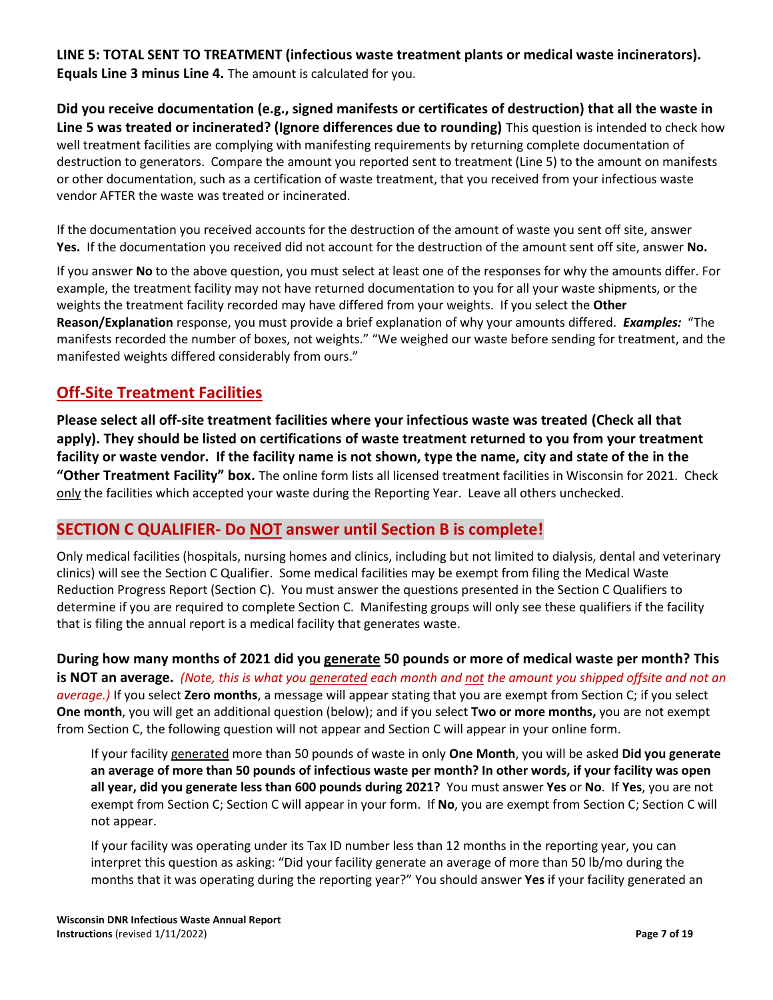**LINE 5: TOTAL SENT TO TREATMENT (infectious waste treatment plants or medical waste incinerators). Equals Line 3 minus Line 4.** The amount is calculated for you.

**Did you receive documentation (e.g., signed manifests or certificates of destruction) that all the waste in Line 5 was treated or incinerated? (Ignore differences due to rounding)** This question is intended to check how well treatment facilities are complying with manifesting requirements by returning complete documentation of destruction to generators. Compare the amount you reported sent to treatment (Line 5) to the amount on manifests or other documentation, such as a certification of waste treatment, that you received from your infectious waste vendor AFTER the waste was treated or incinerated.

If the documentation you received accounts for the destruction of the amount of waste you sent off site, answer **Yes.** If the documentation you received did not account for the destruction of the amount sent off site, answer **No.**

If you answer **No** to the above question, you must select at least one of the responses for why the amounts differ. For example, the treatment facility may not have returned documentation to you for all your waste shipments, or the weights the treatment facility recorded may have differed from your weights. If you select the **Other Reason/Explanation** response, you must provide a brief explanation of why your amounts differed. *Examples:* "The manifests recorded the number of boxes, not weights." "We weighed our waste before sending for treatment, and the manifested weights differed considerably from ours."

## **Off-Site Treatment Facilities**

**Please select all off-site treatment facilities where your infectious waste was treated (Check all that apply). They should be listed on certifications of waste treatment returned to you from your treatment facility or waste vendor. If the facility name is not shown, type the name, city and state of the in the "Other Treatment Facility" box.** The online form lists all licensed treatment facilities in Wisconsin for 2021. Check only the facilities which accepted your waste during the Reporting Year. Leave all others unchecked.

## **SECTION C QUALIFIER- Do NOT answer until Section B is complete!**

Only medical facilities (hospitals, nursing homes and clinics, including but not limited to dialysis, dental and veterinary clinics) will see the Section C Qualifier. Some medical facilities may be exempt from filing the Medical Waste Reduction Progress Report (Section C). You must answer the questions presented in the Section C Qualifiers to determine if you are required to complete Section C. Manifesting groups will only see these qualifiers if the facility that is filing the annual report is a medical facility that generates waste.

**During how many months of 2021 did you generate 50 pounds or more of medical waste per month? This is NOT an average.** *(Note, this is what you generated each month and not the amount you shipped offsite and not an average.)* If you select **Zero months**, a message will appear stating that you are exempt from Section C; if you select **One month**, you will get an additional question (below); and if you select **Two or more months,** you are not exempt from Section C, the following question will not appear and Section C will appear in your online form.

If your facility generated more than 50 pounds of waste in only **One Month**, you will be asked **Did you generate an average of more than 50 pounds of infectious waste per month? In other words, if your facility was open all year, did you generate less than 600 pounds during 2021?** You must answer **Yes** or **No**. If **Yes**, you are not exempt from Section C; Section C will appear in your form. If **No**, you are exempt from Section C; Section C will not appear.

If your facility was operating under its Tax ID number less than 12 months in the reporting year, you can interpret this question as asking: "Did your facility generate an average of more than 50 lb/mo during the months that it was operating during the reporting year?" You should answer **Yes** if your facility generated an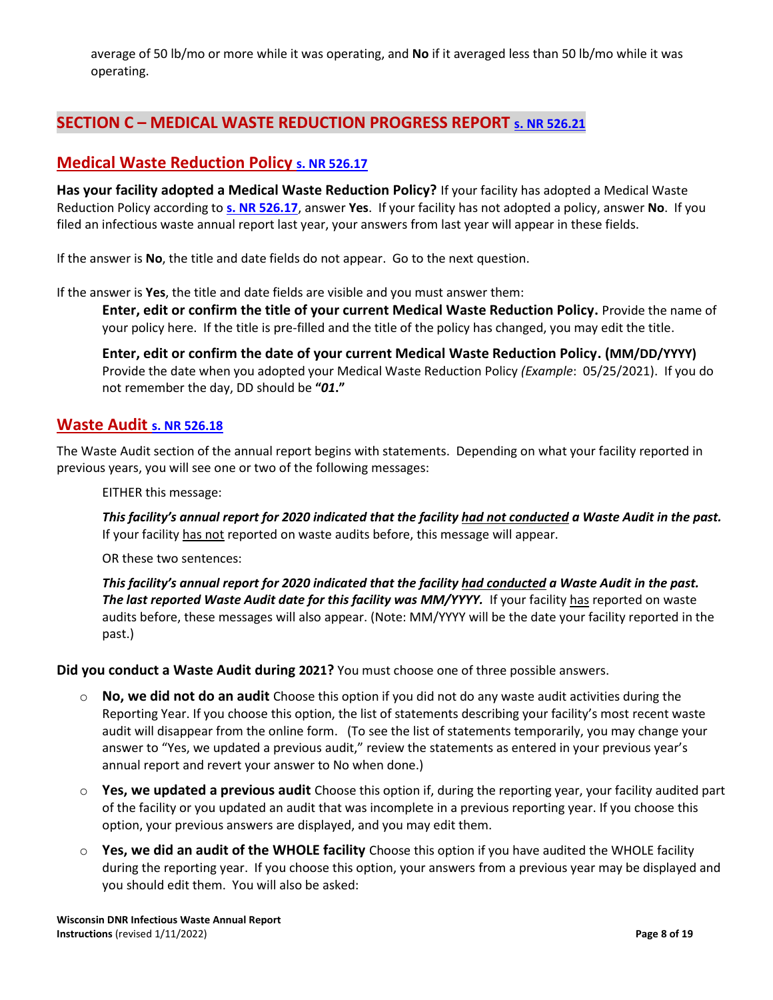average of 50 lb/mo or more while it was operating, and **No** if it averaged less than 50 lb/mo while it was operating.

## **SECTION C – MEDICAL WASTE REDUCTION PROGRESS REPORT [s. NR 526.21](http://docs.legis.wisconsin.gov/code/admin_code/nr/500/526/III/21)**

#### **Medical Waste Reduction Policy [s. NR 526.17](http://docs.legis.wisconsin.gov/code/admin_code/nr/500/526/III/17)**

**Has your facility adopted a Medical Waste Reduction Policy?** If your facility has adopted a Medical Waste Reduction Policy according to **[s. NR 526.17](http://docs.legis.wisconsin.gov/code/admin_code/nr/500/526/III/17)**, answer **Yes**. If your facility has not adopted a policy, answer **No**. If you filed an infectious waste annual report last year, your answers from last year will appear in these fields.

If the answer is **No**, the title and date fields do not appear. Go to the next question.

If the answer is **Yes**, the title and date fields are visible and you must answer them:

**Enter, edit or confirm the title of your current Medical Waste Reduction Policy.** Provide the name of your policy here. If the title is pre-filled and the title of the policy has changed, you may edit the title.

**Enter, edit or confirm the date of your current Medical Waste Reduction Policy. (MM/DD/YYYY)** Provide the date when you adopted your Medical Waste Reduction Policy *(Example*: 05/25/2021). If you do not remember the day, DD should be **"***01***."**

#### **Waste Audit [s. NR 526.18](http://docs.legis.wisconsin.gov/code/admin_code/nr/500/526/III/18)**

The Waste Audit section of the annual report begins with statements. Depending on what your facility reported in previous years, you will see one or two of the following messages:

EITHER this message:

*This facility's annual report for 2020 indicated that the facility had not conducted a Waste Audit in the past.*  If your facility has not reported on waste audits before, this message will appear.

OR these two sentences:

*This facility's annual report for 2020 indicated that the facility had conducted a Waste Audit in the past. The last reported Waste Audit date for this facility was MM/YYYY.* If your facility has reported on waste audits before, these messages will also appear. (Note: MM/YYYY will be the date your facility reported in the past.)

**Did you conduct a Waste Audit during 2021?** You must choose one of three possible answers.

- o **No, we did not do an audit** Choose this option if you did not do any waste audit activities during the Reporting Year. If you choose this option, the list of statements describing your facility's most recent waste audit will disappear from the online form. (To see the list of statements temporarily, you may change your answer to "Yes, we updated a previous audit," review the statements as entered in your previous year's annual report and revert your answer to No when done.)
- o **Yes, we updated a previous audit** Choose this option if, during the reporting year, your facility audited part of the facility or you updated an audit that was incomplete in a previous reporting year. If you choose this option, your previous answers are displayed, and you may edit them.
- o **Yes, we did an audit of the WHOLE facility** Choose this option if you have audited the WHOLE facility during the reporting year. If you choose this option, your answers from a previous year may be displayed and you should edit them. You will also be asked: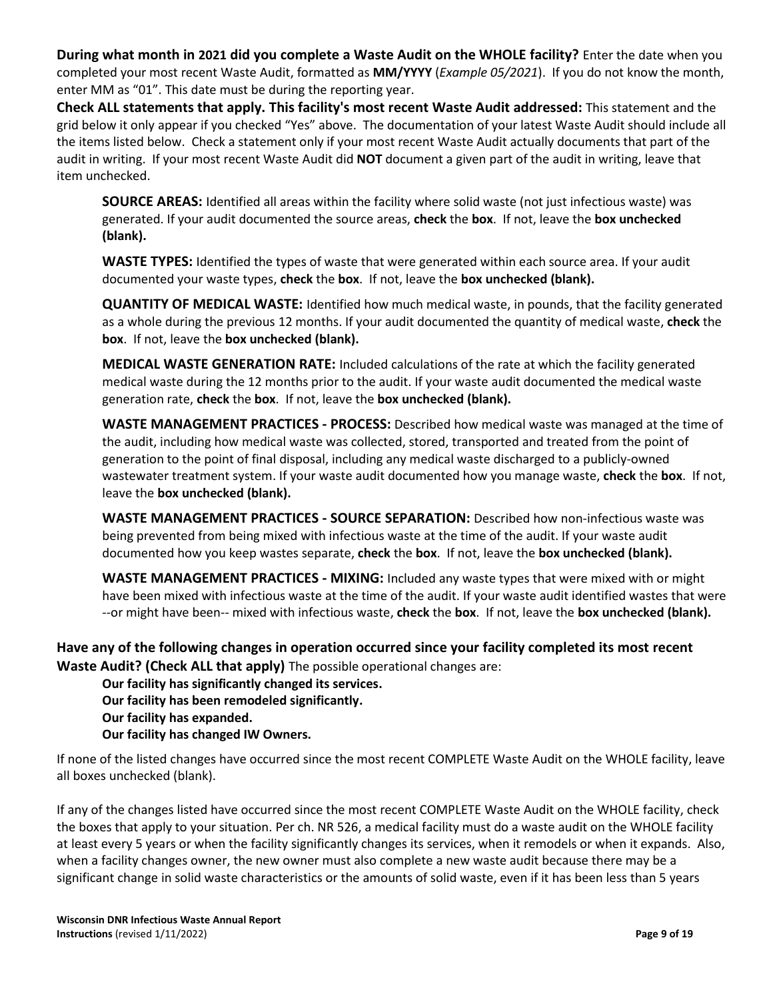**During what month in 2021 did you complete a Waste Audit on the WHOLE facility?** Enter the date when you completed your most recent Waste Audit, formatted as **MM/YYYY** (*Example 05/2021*). If you do not know the month, enter MM as "01". This date must be during the reporting year.

**Check ALL statements that apply. This facility's most recent Waste Audit addressed:** This statement and the grid below it only appear if you checked "Yes" above. The documentation of your latest Waste Audit should include all the items listed below. Check a statement only if your most recent Waste Audit actually documents that part of the audit in writing. If your most recent Waste Audit did **NOT** document a given part of the audit in writing, leave that item unchecked.

**SOURCE AREAS:** Identified all areas within the facility where solid waste (not just infectious waste) was generated. If your audit documented the source areas, **check** the **box**. If not, leave the **box unchecked (blank).**

**WASTE TYPES:** Identified the types of waste that were generated within each source area. If your audit documented your waste types, **check** the **box**. If not, leave the **box unchecked (blank).**

**QUANTITY OF MEDICAL WASTE:** Identified how much medical waste, in pounds, that the facility generated as a whole during the previous 12 months. If your audit documented the quantity of medical waste, **check** the **box**. If not, leave the **box unchecked (blank).**

**MEDICAL WASTE GENERATION RATE:** Included calculations of the rate at which the facility generated medical waste during the 12 months prior to the audit. If your waste audit documented the medical waste generation rate, **check** the **box**. If not, leave the **box unchecked (blank).**

**WASTE MANAGEMENT PRACTICES - PROCESS:** Described how medical waste was managed at the time of the audit, including how medical waste was collected, stored, transported and treated from the point of generation to the point of final disposal, including any medical waste discharged to a publicly-owned wastewater treatment system. If your waste audit documented how you manage waste, **check** the **box**. If not, leave the **box unchecked (blank).**

**WASTE MANAGEMENT PRACTICES - SOURCE SEPARATION:** Described how non-infectious waste was being prevented from being mixed with infectious waste at the time of the audit. If your waste audit documented how you keep wastes separate, **check** the **box**. If not, leave the **box unchecked (blank).**

**WASTE MANAGEMENT PRACTICES - MIXING:** Included any waste types that were mixed with or might have been mixed with infectious waste at the time of the audit. If your waste audit identified wastes that were --or might have been-- mixed with infectious waste, **check** the **box**. If not, leave the **box unchecked (blank).**

**Have any of the following changes in operation occurred since your facility completed its most recent Waste Audit? (Check ALL that apply)** The possible operational changes are:

**Our facility has significantly changed its services. Our facility has been remodeled significantly. Our facility has expanded. Our facility has changed IW Owners.** 

If none of the listed changes have occurred since the most recent COMPLETE Waste Audit on the WHOLE facility, leave all boxes unchecked (blank).

If any of the changes listed have occurred since the most recent COMPLETE Waste Audit on the WHOLE facility, check the boxes that apply to your situation. Per ch. NR 526, a medical facility must do a waste audit on the WHOLE facility at least every 5 years or when the facility significantly changes its services, when it remodels or when it expands. Also, when a facility changes owner, the new owner must also complete a new waste audit because there may be a significant change in solid waste characteristics or the amounts of solid waste, even if it has been less than 5 years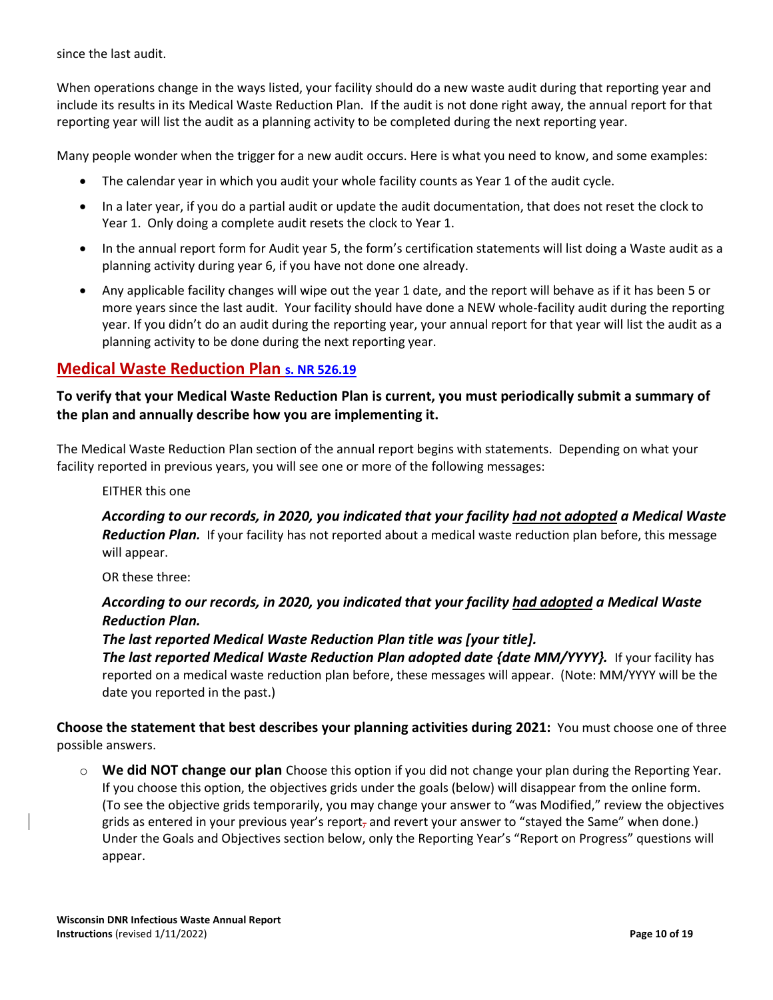since the last audit.

When operations change in the ways listed, your facility should do a new waste audit during that reporting year and include its results in its Medical Waste Reduction Plan. If the audit is not done right away, the annual report for that reporting year will list the audit as a planning activity to be completed during the next reporting year.

Many people wonder when the trigger for a new audit occurs. Here is what you need to know, and some examples:

- The calendar year in which you audit your whole facility counts as Year 1 of the audit cycle.
- In a later year, if you do a partial audit or update the audit documentation, that does not reset the clock to Year 1. Only doing a complete audit resets the clock to Year 1.
- In the annual report form for Audit year 5, the form's certification statements will list doing a Waste audit as a planning activity during year 6, if you have not done one already.
- Any applicable facility changes will wipe out the year 1 date, and the report will behave as if it has been 5 or more years since the last audit. Your facility should have done a NEW whole-facility audit during the reporting year. If you didn't do an audit during the reporting year, your annual report for that year will list the audit as a planning activity to be done during the next reporting year.

#### **Medical Waste Reduction Plan [s. NR 526.19](http://docs.legis.wisconsin.gov/code/admin_code/nr/500/526/III/19)**

#### **To verify that your Medical Waste Reduction Plan is current, you must periodically submit a summary of the plan and annually describe how you are implementing it.**

The Medical Waste Reduction Plan section of the annual report begins with statements. Depending on what your facility reported in previous years, you will see one or more of the following messages:

#### EITHER this one

*According to our records, in 2020, you indicated that your facility had not adopted a Medical Waste Reduction Plan.* If your facility has not reported about a medical waste reduction plan before, this message will appear.

OR these three:

## *According to our records, in 2020, you indicated that your facility had adopted a Medical Waste Reduction Plan.*

#### *The last reported Medical Waste Reduction Plan title was [your title].*

*The last reported Medical Waste Reduction Plan adopted date {date MM/YYYY}.* If your facility has reported on a medical waste reduction plan before, these messages will appear. (Note: MM/YYYY will be the date you reported in the past.)

**Choose the statement that best describes your planning activities during 2021:** You must choose one of three possible answers.

o **We did NOT change our plan** Choose this option if you did not change your plan during the Reporting Year. If you choose this option, the objectives grids under the goals (below) will disappear from the online form. (To see the objective grids temporarily, you may change your answer to "was Modified," review the objectives grids as entered in your previous year's report, and revert your answer to "stayed the Same" when done.) Under the Goals and Objectives section below, only the Reporting Year's "Report on Progress" questions will appear.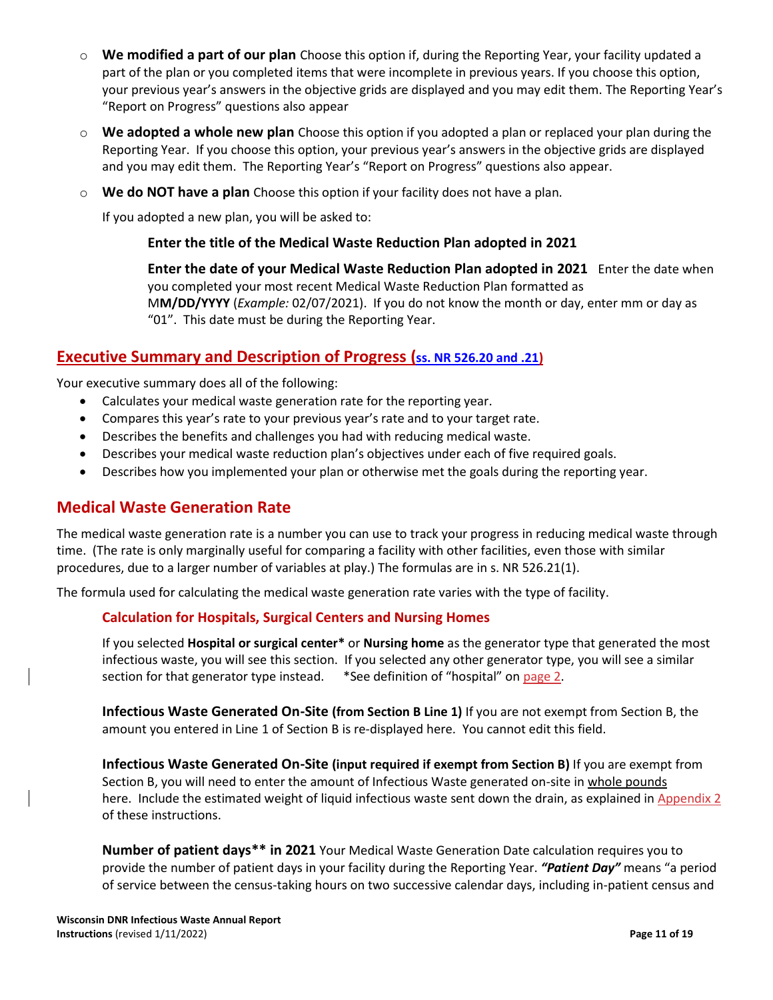- o **We modified a part of our plan** Choose this option if, during the Reporting Year, your facility updated a part of the plan or you completed items that were incomplete in previous years. If you choose this option, your previous year's answers in the objective grids are displayed and you may edit them. The Reporting Year's "Report on Progress" questions also appear
- o **We adopted a whole new plan** Choose this option if you adopted a plan or replaced your plan during the Reporting Year. If you choose this option, your previous year's answers in the objective grids are displayed and you may edit them. The Reporting Year's "Report on Progress" questions also appear.
- o **We do NOT have a plan** Choose this option if your facility does not have a plan.

If you adopted a new plan, you will be asked to:

#### **Enter the title of the Medical Waste Reduction Plan adopted in 2021**

**Enter the date of your Medical Waste Reduction Plan adopted in 2021** Enter the date when you completed your most recent Medical Waste Reduction Plan formatted as M**M/DD/YYYY** (*Example:* 02/07/2021). If you do not know the month or day, enter mm or day as "01". This date must be during the Reporting Year.

## **Executive Summary and Description of Progress ([ss. NR 526.20 and .21\)](http://docs.legis.wisconsin.gov/code/admin_code/nr/500/526/III/20)**

Your executive summary does all of the following:

- Calculates your medical waste generation rate for the reporting year.
- Compares this year's rate to your previous year's rate and to your target rate.
- Describes the benefits and challenges you had with reducing medical waste.
- Describes your medical waste reduction plan's objectives under each of five required goals.
- Describes how you implemented your plan or otherwise met the goals during the reporting year.

#### **Medical Waste Generation Rate**

The medical waste generation rate is a number you can use to track your progress in reducing medical waste through time. (The rate is only marginally useful for comparing a facility with other facilities, even those with similar procedures, due to a larger number of variables at play.) The formulas are in s. NR 526.21(1).

The formula used for calculating the medical waste generation rate varies with the type of facility.

#### **Calculation for Hospitals, Surgical Centers and Nursing Homes**

If you selected **Hospital or surgical center\*** or **Nursing home** as the generator type that generated the most infectious waste, you will see this section. If you selected any other generator type, you will see a similar section for that generator type instead. \*See definition of "hospital" on page 2.

**Infectious Waste Generated On-Site (from Section B Line 1)** If you are not exempt from Section B, the amount you entered in Line 1 of Section B is re-displayed here. You cannot edit this field.

**Infectious Waste Generated On-Site (input required if exempt from Section B)** If you are exempt from Section B, you will need to enter the amount of Infectious Waste generated on-site in whole pounds here. Include the estimated weight of liquid infectious waste sent down the drain, as explained in [Appendix 2](#page-18-0) of these instructions.

**Number of patient days\*\* in 2021** Your Medical Waste Generation Date calculation requires you to provide the number of patient days in your facility during the Reporting Year. *"Patient Day"* means "a period of service between the census-taking hours on two successive calendar days, including in-patient census and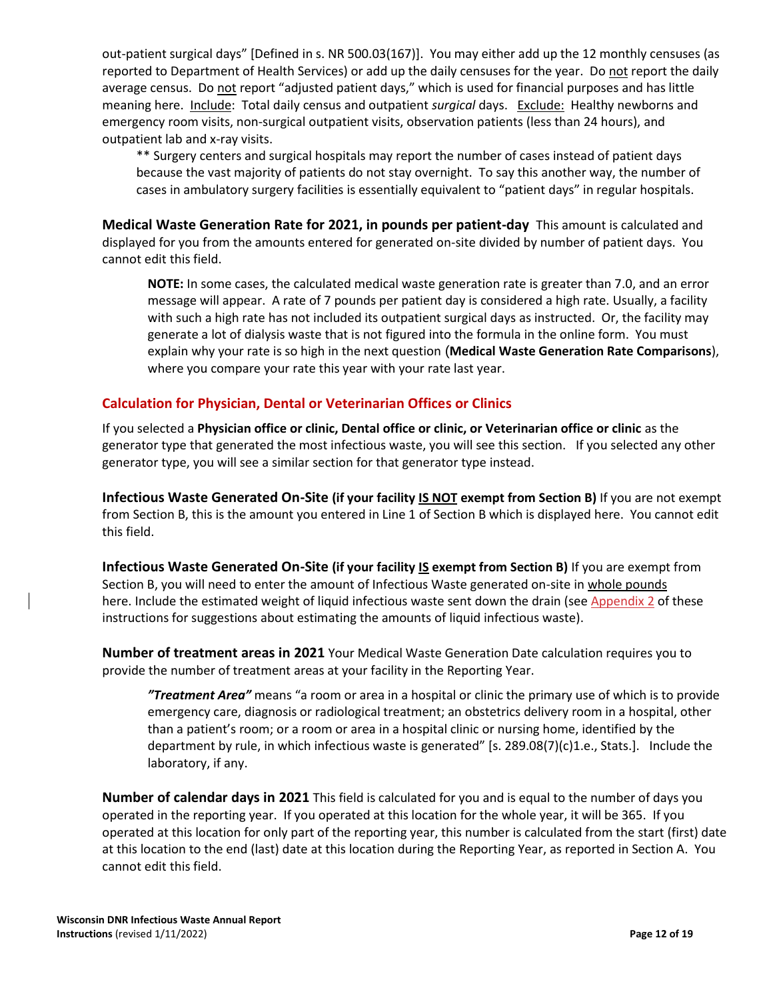out-patient surgical days" [Defined in s. NR 500.03(167)]. You may either add up the 12 monthly censuses (as reported to Department of Health Services) or add up the daily censuses for the year. Do not report the daily average census. Do not report "adjusted patient days," which is used for financial purposes and has little meaning here. Include: Total daily census and outpatient *surgical* days. Exclude: Healthy newborns and emergency room visits, non-surgical outpatient visits, observation patients (less than 24 hours), and outpatient lab and x-ray visits.

\*\* Surgery centers and surgical hospitals may report the number of cases instead of patient days because the vast majority of patients do not stay overnight. To say this another way, the number of cases in ambulatory surgery facilities is essentially equivalent to "patient days" in regular hospitals.

**Medical Waste Generation Rate for 2021, in pounds per patient-day** This amount is calculated and displayed for you from the amounts entered for generated on-site divided by number of patient days. You cannot edit this field.

**NOTE:** In some cases, the calculated medical waste generation rate is greater than 7.0, and an error message will appear. A rate of 7 pounds per patient day is considered a high rate. Usually, a facility with such a high rate has not included its outpatient surgical days as instructed. Or, the facility may generate a lot of dialysis waste that is not figured into the formula in the online form. You must explain why your rate is so high in the next question (**Medical Waste Generation Rate Comparisons**), where you compare your rate this year with your rate last year.

#### **Calculation for Physician, Dental or Veterinarian Offices or Clinics**

If you selected a **Physician office or clinic, Dental office or clinic, or Veterinarian office or clinic** as the generator type that generated the most infectious waste, you will see this section. If you selected any other generator type, you will see a similar section for that generator type instead.

**Infectious Waste Generated On-Site (if your facility IS NOT exempt from Section B)** If you are not exempt from Section B, this is the amount you entered in Line 1 of Section B which is displayed here. You cannot edit this field.

**Infectious Waste Generated On-Site (if your facility IS exempt from Section B)** If you are exempt from Section B, you will need to enter the amount of Infectious Waste generated on-site in whole pounds here. Include the estimated weight of liquid infectious waste sent down the drain (see [Appendix 2](#page-18-0) of these instructions for suggestions about estimating the amounts of liquid infectious waste).

**Number of treatment areas in 2021** Your Medical Waste Generation Date calculation requires you to provide the number of treatment areas at your facility in the Reporting Year.

*"Treatment Area"* means "a room or area in a hospital or clinic the primary use of which is to provide emergency care, diagnosis or radiological treatment; an obstetrics delivery room in a hospital, other than a patient's room; or a room or area in a hospital clinic or nursing home, identified by the department by rule, in which infectious waste is generated" [s. 289.08(7)(c)1.e., Stats.]. Include the laboratory, if any.

**Number of calendar days in 2021** This field is calculated for you and is equal to the number of days you operated in the reporting year. If you operated at this location for the whole year, it will be 365. If you operated at this location for only part of the reporting year, this number is calculated from the start (first) date at this location to the end (last) date at this location during the Reporting Year, as reported in Section A. You cannot edit this field.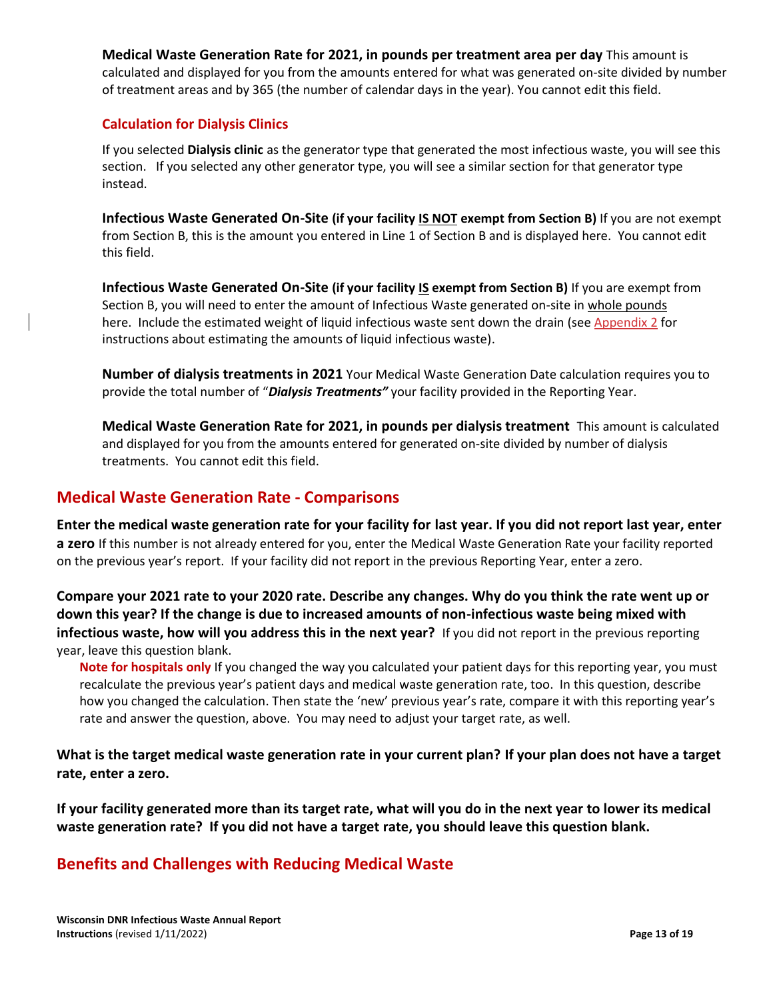**Medical Waste Generation Rate for 2021, in pounds per treatment area per day** This amount is calculated and displayed for you from the amounts entered for what was generated on-site divided by number of treatment areas and by 365 (the number of calendar days in the year). You cannot edit this field.

#### **Calculation for Dialysis Clinics**

If you selected **Dialysis clinic** as the generator type that generated the most infectious waste, you will see this section. If you selected any other generator type, you will see a similar section for that generator type instead.

**Infectious Waste Generated On-Site (if your facility IS NOT exempt from Section B)** If you are not exempt from Section B, this is the amount you entered in Line 1 of Section B and is displayed here. You cannot edit this field.

**Infectious Waste Generated On-Site (if your facility IS exempt from Section B)** If you are exempt from Section B, you will need to enter the amount of Infectious Waste generated on-site in whole pounds here. Include the estimated weight of liquid infectious waste sent down the drain (se[e Appendix 2](#page-18-0) for instructions about estimating the amounts of liquid infectious waste).

**Number of dialysis treatments in 2021** Your Medical Waste Generation Date calculation requires you to provide the total number of "*Dialysis Treatments"* your facility provided in the Reporting Year.

**Medical Waste Generation Rate for 2021, in pounds per dialysis treatment** This amount is calculated and displayed for you from the amounts entered for generated on-site divided by number of dialysis treatments. You cannot edit this field.

## **Medical Waste Generation Rate - Comparisons**

**Enter the medical waste generation rate for your facility for last year. If you did not report last year, enter a zero** If this number is not already entered for you, enter the Medical Waste Generation Rate your facility reported on the previous year's report. If your facility did not report in the previous Reporting Year, enter a zero.

**Compare your 2021 rate to your 2020 rate. Describe any changes. Why do you think the rate went up or down this year? If the change is due to increased amounts of non-infectious waste being mixed with infectious waste, how will you address this in the next year?** If you did not report in the previous reporting year, leave this question blank.

**Note for hospitals only** If you changed the way you calculated your patient days for this reporting year, you must recalculate the previous year's patient days and medical waste generation rate, too. In this question, describe how you changed the calculation. Then state the 'new' previous year's rate, compare it with this reporting year's rate and answer the question, above. You may need to adjust your target rate, as well.

**What is the target medical waste generation rate in your current plan? If your plan does not have a target rate, enter a zero.**

**If your facility generated more than its target rate, what will you do in the next year to lower its medical waste generation rate? If you did not have a target rate, you should leave this question blank.**

## **Benefits and Challenges with Reducing Medical Waste**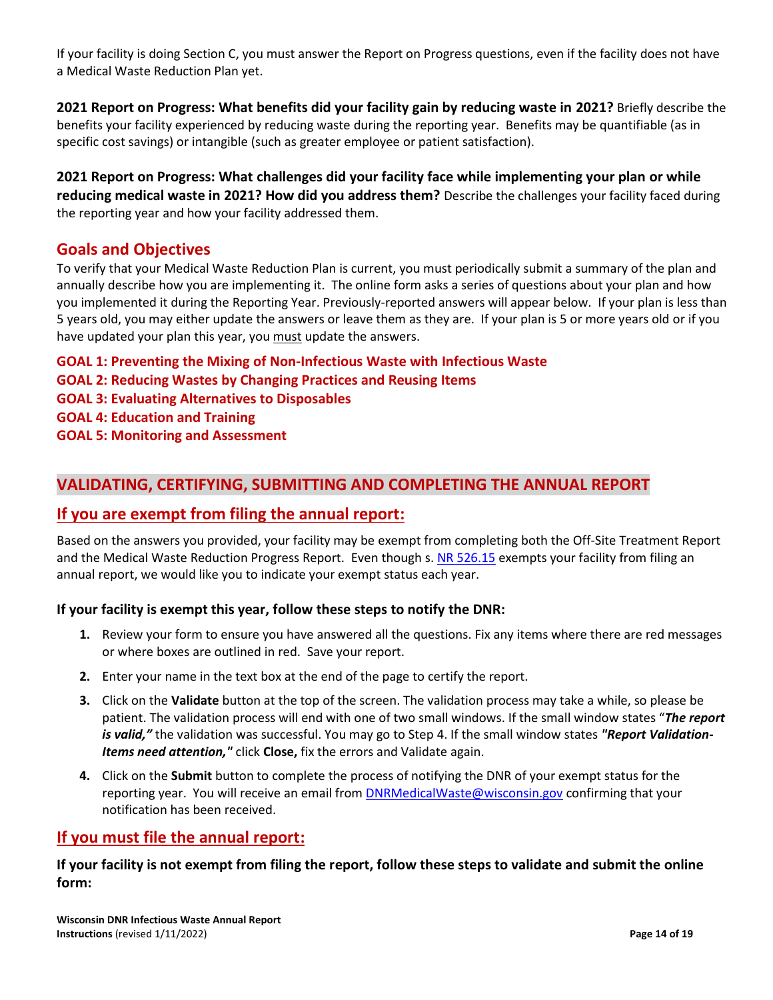If your facility is doing Section C, you must answer the Report on Progress questions, even if the facility does not have a Medical Waste Reduction Plan yet.

**2021 Report on Progress: What benefits did your facility gain by reducing waste in 2021?** Briefly describe the benefits your facility experienced by reducing waste during the reporting year. Benefits may be quantifiable (as in specific cost savings) or intangible (such as greater employee or patient satisfaction).

**2021 Report on Progress: What challenges did your facility face while implementing your plan or while reducing medical waste in 2021? How did you address them?** Describe the challenges your facility faced during the reporting year and how your facility addressed them.

## **Goals and Objectives**

To verify that your Medical Waste Reduction Plan is current, you must periodically submit a summary of the plan and annually describe how you are implementing it. The online form asks a series of questions about your plan and how you implemented it during the Reporting Year. Previously-reported answers will appear below. If your plan is less than 5 years old, you may either update the answers or leave them as they are. If your plan is 5 or more years old or if you have updated your plan this year, you must update the answers.

**GOAL 1: Preventing the Mixing of Non-Infectious Waste with Infectious Waste GOAL 2: Reducing Wastes by Changing Practices and Reusing Items GOAL 3: Evaluating Alternatives to Disposables GOAL 4: Education and Training GOAL 5: Monitoring and Assessment**

## **VALIDATING, CERTIFYING, SUBMITTING AND COMPLETING THE ANNUAL REPORT**

## **If you are exempt from filing the annual report:**

Based on the answers you provided, your facility may be exempt from completing both the Off-Site Treatment Report and the Medical Waste Reduction Progress Report. Even though s. [NR 526.15](http://docs.legis.wisconsin.gov/code/admin_code/nr/500/526/II/15) exempts your facility from filing an annual report, we would like you to indicate your exempt status each year.

#### **If your facility is exempt this year, follow these steps to notify the DNR:**

- **1.** Review your form to ensure you have answered all the questions. Fix any items where there are red messages or where boxes are outlined in red. Save your report.
- **2.** Enter your name in the text box at the end of the page to certify the report.
- **3.** Click on the **Validate** button at the top of the screen. The validation process may take a while, so please be patient. The validation process will end with one of two small windows. If the small window states "*The report is valid,"* the validation was successful. You may go to Step 4. If the small window states *"Report Validation-Items need attention,"* click **Close,** fix the errors and Validate again.
- **4.** Click on the **Submit** button to complete the process of notifying the DNR of your exempt status for the reporting year. You will receive an email from [DNRMedicalWaste@wisconsin.gov](mailto:DNRMedicalWaste@wisconsin.gov) confirming that your notification has been received.

## **If you must file the annual report:**

**If your facility is not exempt from filing the report, follow these steps to validate and submit the online form:**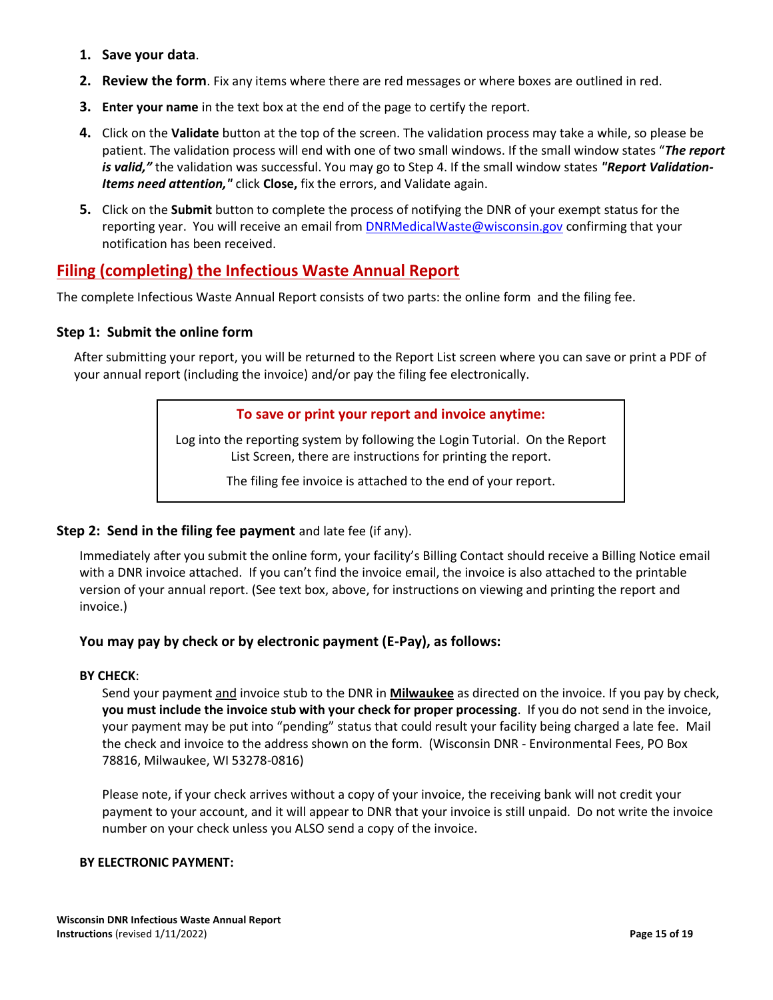- **1. Save your data**.
- **2. Review the form**. Fix any items where there are red messages or where boxes are outlined in red.
- **3. Enter your name** in the text box at the end of the page to certify the report.
- **4.** Click on the **Validate** button at the top of the screen. The validation process may take a while, so please be patient. The validation process will end with one of two small windows. If the small window states "*The report is valid,"* the validation was successful. You may go to Step 4. If the small window states *"Report Validation-Items need attention,"* click **Close,** fix the errors, and Validate again.
- **5.** Click on the **Submit** button to complete the process of notifying the DNR of your exempt status for the reporting year. You will receive an email from [DNRMedicalWaste@wisconsin.gov](mailto:DNRMedicalWaste@wisconsin.gov) confirming that your notification has been received.

## **Filing (completing) the Infectious Waste Annual Report**

The complete Infectious Waste Annual Report consists of two parts: the online form and the filing fee.

#### **Step 1: Submit the online form**

After submitting your report, you will be returned to the Report List screen where you can save or print a PDF of your annual report (including the invoice) and/or pay the filing fee electronically.

#### **To save or print your report and invoice anytime:**

Log into the reporting system by following the Login Tutorial. On the Report List Screen, there are instructions for printing the report.

The filing fee invoice is attached to the end of your report.

#### **Step 2: Send in the filing fee payment** and late fee (if any).

Immediately after you submit the online form, your facility's Billing Contact should receive a Billing Notice email with a DNR invoice attached. If you can't find the invoice email, the invoice is also attached to the printable version of your annual report. (See text box, above, for instructions on viewing and printing the report and invoice.)

#### **You may pay by check or by electronic payment (E-Pay), as follows:**

#### **BY CHECK**:

Send your payment and invoice stub to the DNR in **Milwaukee** as directed on the invoice. If you pay by check, **you must include the invoice stub with your check for proper processing**. If you do not send in the invoice, your payment may be put into "pending" status that could result your facility being charged a late fee. Mail the check and invoice to the address shown on the form. (Wisconsin DNR - Environmental Fees, PO Box 78816, Milwaukee, WI 53278-0816)

Please note, if your check arrives without a copy of your invoice, the receiving bank will not credit your payment to your account, and it will appear to DNR that your invoice is still unpaid. Do not write the invoice number on your check unless you ALSO send a copy of the invoice.

#### **BY ELECTRONIC PAYMENT:**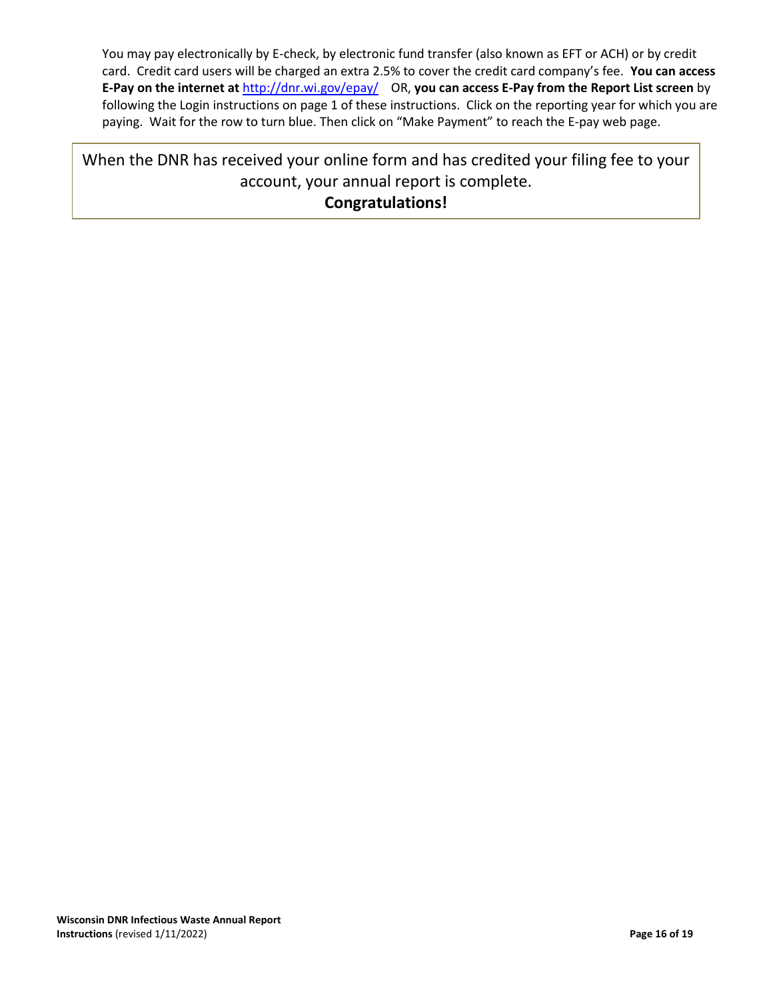You may pay electronically by E-check, by electronic fund transfer (also known as EFT or ACH) or by credit card. Credit card users will be charged an extra 2.5% to cover the credit card company's fee. **You can access E-Pay on the internet at** <http://dnr.wi.gov/epay/> OR, **you can access E-Pay from the Report List screen** by following the Login instructions on page 1 of these instructions. Click on the reporting year for which you are paying. Wait for the row to turn blue. Then click on "Make Payment" to reach the E-pay web page.

<span id="page-15-0"></span>When the DNR has received your online form and has credited your filing fee to your account, your annual report is complete. **Congratulations!**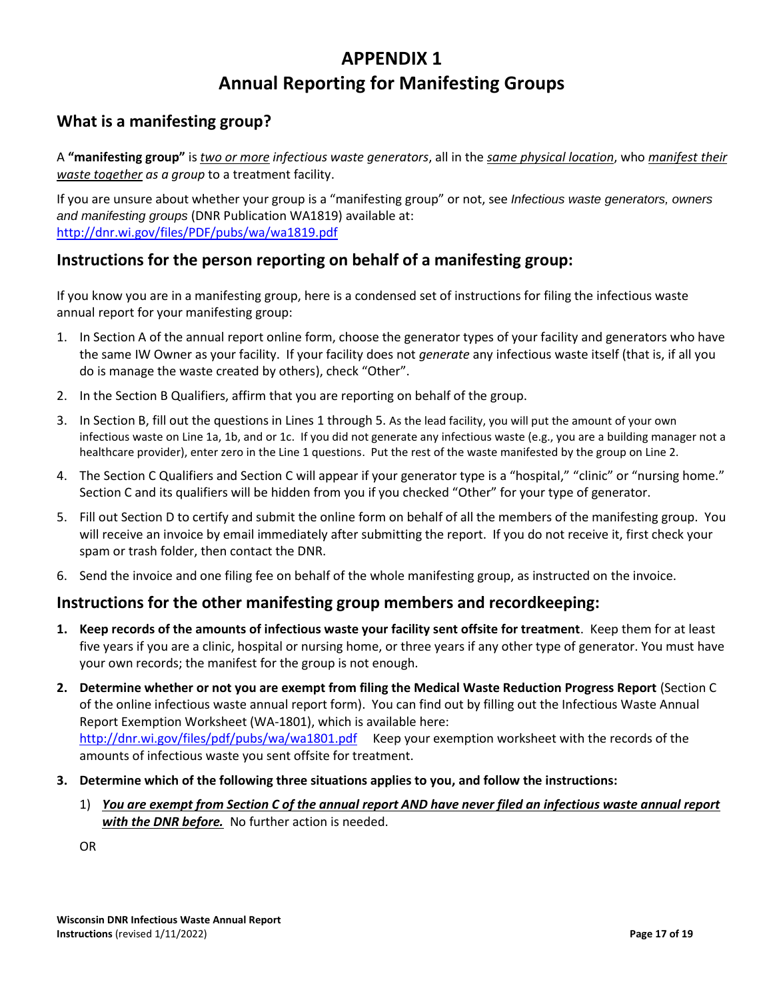## **APPENDIX 1 Annual Reporting for Manifesting Groups**

## **What is a manifesting group?**

A **"manifesting group"** is *two or more infectious waste generators*, all in the *same physical location*, who *manifest their waste together as a group* to a treatment facility.

If you are unsure about whether your group is a "manifesting group" or not, see *Infectious waste generators, owners and manifesting groups* (DNR Publication WA1819) available at: <http://dnr.wi.gov/files/PDF/pubs/wa/wa1819.pdf>

## **Instructions for the person reporting on behalf of a manifesting group:**

If you know you are in a manifesting group, here is a condensed set of instructions for filing the infectious waste annual report for your manifesting group:

- 1. In Section A of the annual report online form, choose the generator types of your facility and generators who have the same IW Owner as your facility. If your facility does not *generate* any infectious waste itself (that is, if all you do is manage the waste created by others), check "Other".
- 2. In the Section B Qualifiers, affirm that you are reporting on behalf of the group.
- 3. In Section B, fill out the questions in Lines 1 through 5. As the lead facility, you will put the amount of your own infectious waste on Line 1a, 1b, and or 1c. If you did not generate any infectious waste (e.g., you are a building manager not a healthcare provider), enter zero in the Line 1 questions. Put the rest of the waste manifested by the group on Line 2.
- 4. The Section C Qualifiers and Section C will appear if your generator type is a "hospital," "clinic" or "nursing home." Section C and its qualifiers will be hidden from you if you checked "Other" for your type of generator.
- 5. Fill out Section D to certify and submit the online form on behalf of all the members of the manifesting group. You will receive an invoice by email immediately after submitting the report. If you do not receive it, first check your spam or trash folder, then contact the DNR.
- 6. Send the invoice and one filing fee on behalf of the whole manifesting group, as instructed on the invoice.

## **Instructions for the other manifesting group members and recordkeeping:**

**1. Keep records of the amounts of infectious waste your facility sent offsite for treatment**. Keep them for at least five years if you are a clinic, hospital or nursing home, or three years if any other type of generator. You must have your own records; the manifest for the group is not enough.

**2. Determine whether or not you are exempt from filing the Medical Waste Reduction Progress Report** (Section C of the online infectious waste annual report form). You can find out by filling out the Infectious Waste Annual Report Exemption Worksheet (WA-1801), which is available here: <http://dnr.wi.gov/files/pdf/pubs/wa/wa1801.pdf>Keep your exemption worksheet with the records of the amounts of infectious waste you sent offsite for treatment.

- **3. Determine which of the following three situations applies to you, and follow the instructions:** 
	- 1) *You are exempt from Section C of the annual report AND have never filed an infectious waste annual report with the DNR before.* No further action is needed.

OR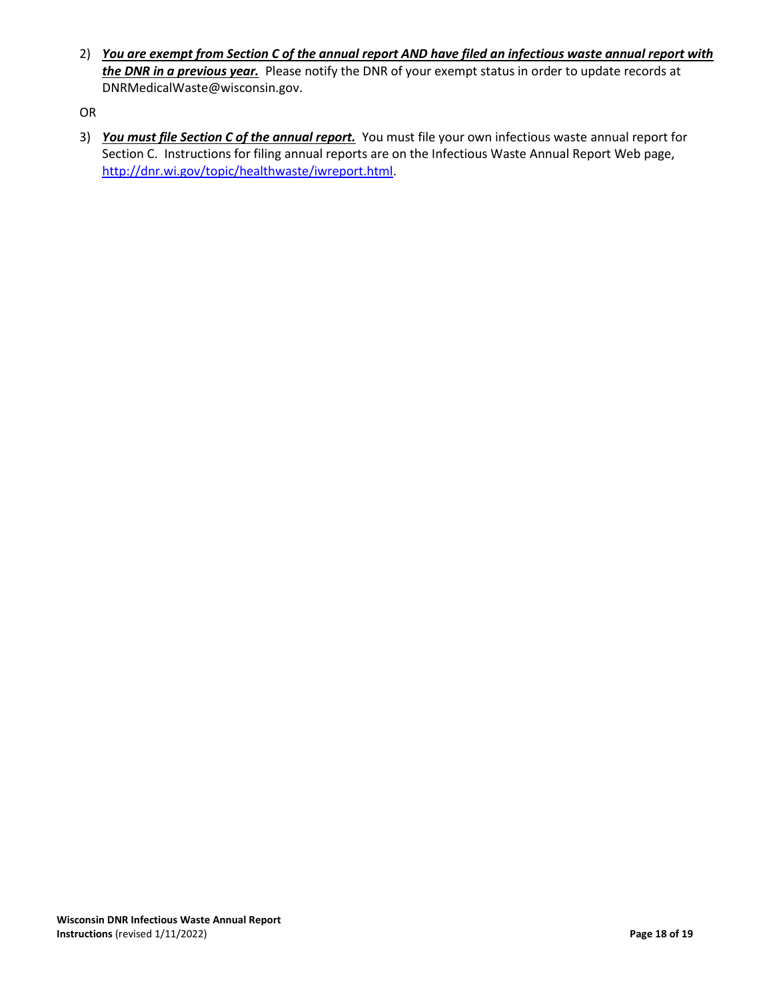- 2) *You are exempt from Section C of the annual report AND have filed an infectious waste annual report with the DNR in a previous year.* Please notify the DNR of your exempt status in order to update records at DNRMedicalWaste@wisconsin.gov.
- OR
- 3) *You must file Section C of the annual report.* You must file your own infectious waste annual report for Section C. Instructions for filing annual reports are on the Infectious Waste Annual Report Web page, [http://dnr.wi.gov/topic/healthwaste/iwreport.html.](http://dnr.wi.gov/topic/healthwaste/iwreport.html)